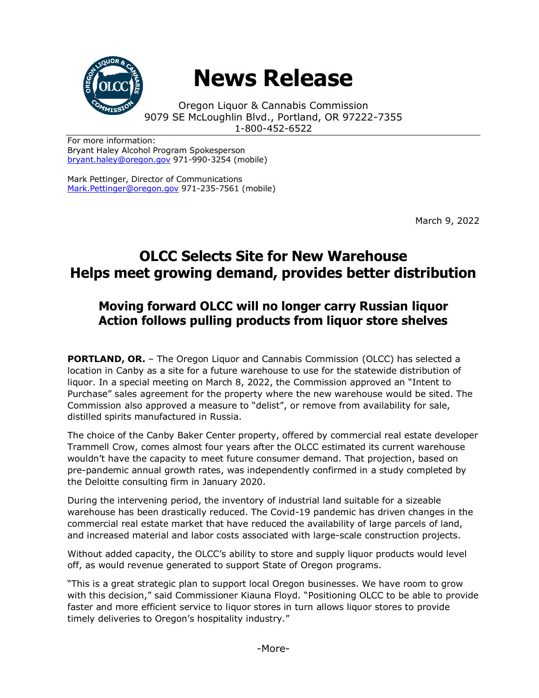

## **News Release**

Oregon Liquor & Cannabis Commission 9079 SE McLoughlin Blvd., Portland, OR 97222-7355 1-800-452-6522

For more information: Bryant Haley Alcohol Program Spokesperson [bryant.haley@oregon.gov](file:///C:/Users/mark.pettinger/AppData/Local/Microsoft/Windows/INetCache/Content.Outlook/ZTRJ5L75/bryant.haley@oregon.gov) 971-990-3254 (mobile)

Mark Pettinger, Director of Communications [Mark.Pettinger@oregon.gov](mailto:Mark.Pettinger@oregon.gov) 971-235-7561 (mobile)

March 9, 2022

## **OLCC Selects Site for New Warehouse Helps meet growing demand, provides better distribution**

## **Moving forward OLCC will no longer carry Russian liquor Action follows pulling products from liquor store shelves**

**PORTLAND, OR.** - The Oregon Liquor and Cannabis Commission (OLCC) has selected a location in Canby as a site for a future warehouse to use for the statewide distribution of liquor. In a special meeting on March 8, 2022, the Commission approved an "Intent to Purchase" sales agreement for the property where the new warehouse would be sited. The Commission also approved a measure to "delist", or remove from availability for sale, distilled spirits manufactured in Russia.

The choice of the Canby Baker Center property, offered by commercial real estate developer Trammell Crow, comes almost four years after the OLCC estimated its current warehouse wouldn't have the capacity to meet future consumer demand. That projection, based on pre-pandemic annual growth rates, was independently confirmed in a study completed by the Deloitte consulting firm in January 2020.

During the intervening period, the inventory of industrial land suitable for a sizeable warehouse has been drastically reduced. The Covid-19 pandemic has driven changes in the commercial real estate market that have reduced the availability of large parcels of land, and increased material and labor costs associated with large-scale construction projects.

Without added capacity, the OLCC's ability to store and supply liquor products would level off, as would revenue generated to support State of Oregon programs.

"This is a great strategic plan to support local Oregon businesses. We have room to grow with this decision," said Commissioner Kiauna Floyd. "Positioning OLCC to be able to provide faster and more efficient service to liquor stores in turn allows liquor stores to provide timely deliveries to Oregon's hospitality industry."